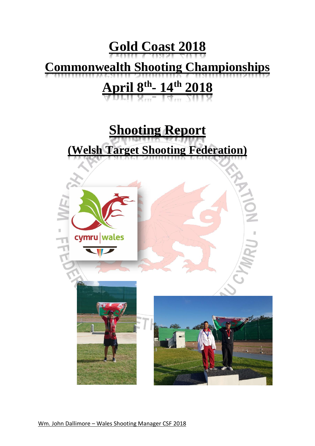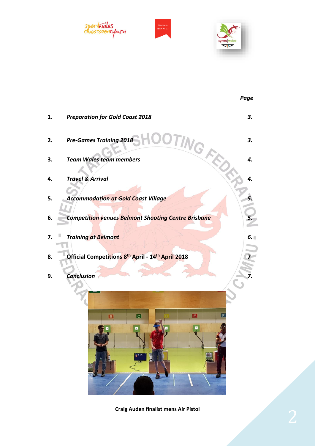



**Craig Auden finalist mens Air Pistol**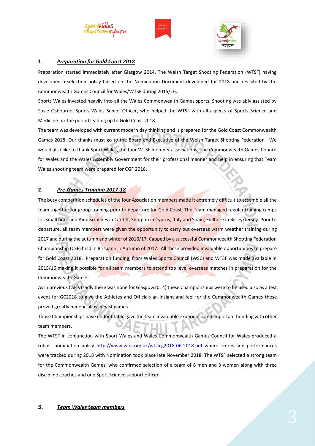





### **1.** *Preparation for Gold Coast 2018*

Preparation started immediately after Glasgow 2014. The Welsh Target Shooting Federation (WTSF) having developed a selection policy based on the Nomination Document developed for 2018 and revisited by the Commonwealth Games Council for Wales/WTSF during 2015/16.

Sports Wales invested heavily into all the Wales Commonwealth Games sports. Shooting was ably assisted by Susie Osbourne, Sports Wales Senior Officer, who helped the WTSF with all aspects of Sports Science and Medicine for the period leading up to Gold Coast 2018.

The team was developed with current modern day thinking and is prepared for the Gold Coast Commonwealth Games 2018. Our thanks must go to the Board and Executive of the Welsh Target Shooting Federation. We would also like to thank Sport Wales, the four WTSF member associations, The Commonwealth Games Council for Wales and the Wales Assembly Government for their professional manner and help in ensuring that Team Wales shooting team were prepared for CGF 2018.

## **2.** *Pre-Games Training 2017-18*

The busy competition schedules of the four Association members made it extremely difficult to assemble all the team together for group training prior to departure for Gold Coast. The Team managed regular training camps for Small bore and Air disciplines in Cardiff, Shotgun in Cyprus, Italy and Spain, Fullbore in Bisley/Jersey. Prior to departure, all team members were given the opportunity to carry out overseas warm weather training during 2017 and during the autumn and winter of 2016/17. Capped by a successful Commonwealth Shooting Federation Championship (CSF) held in Brisbane in Autumn of 2017. All these provided invaluable opportunities to prepare for Gold Coast 2018. Preparation funding, from Wales Sports Council (WSC) and WTSF was made available in 2015/16 making it possible for all team members to attend top level overseas matches in preparation for the Commonwealth Games.

As in previous CSF's (sadly there was none for Glasgow2014) these Championships were to be used also as a test event for GC2018 to give the Athletes and Officials an insight and feel for the Commonwealth Games these proved greatly beneficial as in past games.

Those Championships have undoubtable gave the team invaluable experience and important bonding with other team members.

The WTSF in conjunction with Sport Wales and Wales Commonwealth Games Council for Wales produced a robust nomination policy [http://www.wtsf.org.uk/wtsfcg2018-06-2018.pdf](http://www.wtsf.org.uk/wtsfcg2018-06-2017.pdf) where scores and performances were tracked during 2018 with Nomination took place late November 2018. The WTSF selected a strong team for the Commonwealth Games, who confirmed selection of a team of 8 men and 3 women along with three discipline coaches and one Sport Science support officer.

### **3.** *Team Wales team members*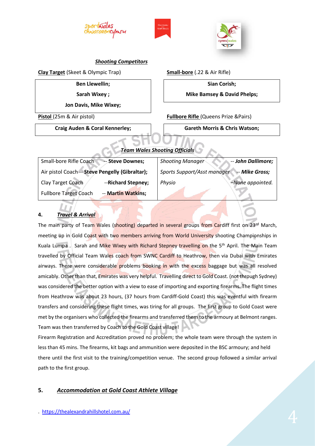





### *Shooting Competitors*

**Clay Target** (Skeet & Olympic Trap)

**Ben Llewellin;**

**Sarah Wixey ;**

**Jon Davis, Mike Wixey;**

**Pistol** (25m & Air pistol)

**Craig Auden & Coral Kennerley;**

**Small-bore** (.22 & Air Rifle)

**Sian Corish; Mike Bamsey & David Phelps;**

**Fullbore Rifle** (Queens Prize &Pairs)

**Gareth Morris & Chris Watson;**

# *Team Wales Shooting Officials*

| Small-bore Rifle Coach                          | -- Steve Downes;   | <b>Shooting Manager</b>                       | -- John Dallimore; |  |
|-------------------------------------------------|--------------------|-----------------------------------------------|--------------------|--|
| Air pistol Coach -- Steve Pengelly (Gibraltar); |                    | -- Mike Gross;<br>Sports Support/Asst manager |                    |  |
| Clay Target Coach                               | --Richard Stepney; | Physio                                        | -None appointed.   |  |
| <b>Fullbore Target Coach</b>                    | -- Martin Watkins; |                                               |                    |  |

# **4.** *Travel & Arrival*

The main party of Team Wales (shooting) departed in several groups from Cardiff first on 23rd March, meeting up in Gold Coast with two members arriving from World University shooting Championships in Kuala Lumpa . Sarah and Mike Wixey with Richard Stepney travelling on the 5<sup>th</sup> April. The Main Team travelled by Official Team Wales coach from SWNC Cardiff to Heathrow, then via Dubai with Emirates airways. There were considerable problems booking in with the excess baggage but was all resolved amicably. Other than that, Emirates was very helpful. Travelling direct to Gold Coast. (not through Sydney) was considered the better option with a view to ease of importing and exporting firearms. The flight times from Heathrow was about 23 hours, (37 hours from Cardiff-Gold Coast) this was eventful with firearm transfers and considering these flight times, was tiring for all groups. The first group to Gold Coast were met by the organisers who collected the firearms and transferred them to the armoury at Belmont ranges. Team was then transferred by Coach to the Gold Coast village!

Firearm Registration and Accreditation proved no problem; the whole team were through the system in less than 45 mins. The firearms, kit bags and ammunition were deposited in the BSC armoury; and held there until the first visit to the training/competition venue. The second group followed a similar arrival path to the first group.

## **5.** *Accommodation at Gold Coast Athlete Village*

.<https://thealexandrahillshotel.com.au/>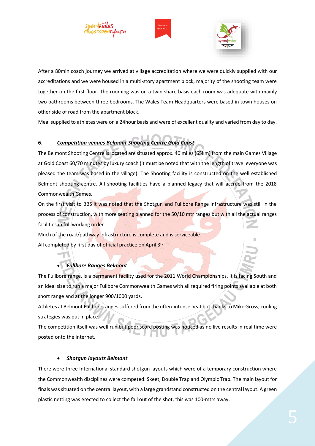





After a 80min coach journey we arrived at village accreditation where we were quickly supplied with our accreditations and we were housed in a multi-story apartment block, majority of the shooting team were together on the first floor. The rooming was on a twin share basis each room was adequate with mainly two bathrooms between three bedrooms. The Wales Team Headquarters were based in town houses on other side of road from the apartment block.

Meal supplied to athletes were on a 24hour basis and were of excellent quality and varied from day to day.

# **6.** *Competition venues Belmont Shooting Centre Gold Coast*

The Belmont Shooting Centre is located are situated approx. 40 miles (65km) from the main Games Village at Gold Coast 60/70 minutes by luxury coach (it must be noted that with the length of travel everyone was pleased the team was based in the village). The Shooting facility is constructed on the well established Belmont shooting centre. All shooting facilities have a planned legacy that will accrue from the 2018 Commonwealth Games.

On the first visit to BBS it was noted that the Shotgun and Fullbore Range infrastructure was still in the process of construction, with more seating planned for the 50/10 mtr ranges but with all the actual ranges facilities in full working order.

Much of the road/pathway infrastructure is complete and is serviceable. All completed by first day of official practice on April 3rd

## • *Fullbore Ranges Belmont*

The Fullbore range, is a permanent facility used for the 2011 World Championships, it is facing South and an ideal size to run a major Fullbore Commonwealth Games with all required firing points available at both short range and at the longer 900/1000 yards.

Athletes at Belmont Fullbore ranges suffered from the often-intense heat but thanks to Mike Gross, cooling strategies was put in place.

The competition itself was well run but poor score posting was noticed as no live results in real time were posted onto the internet.

### • *Shotgun layouts Belmont*

There were three International standard shotgun layouts which were of a temporary construction where the Commonwealth disciplines were competed: Skeet, Double Trap and Olympic Trap. The main layout for finals was situated on the central layout, with a large grandstand constructed on the central layout. A green plastic netting was erected to collect the fall out of the shot, this was 100-mtrs away.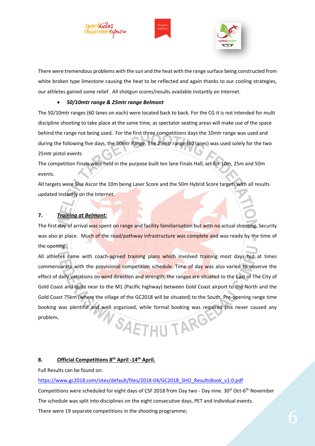





There were tremendous problems with the sun and the heat with the range surface being constructed from white broken type limestone causing the heat to be reflected and again thanks to our cooling strategies, our athletes gained some relief. All shotgun scores/results available instantly on Internet.

#### • *50/10mtr range & 25mtr range Belmont*

The 50/10mtr ranges (60 lanes on each) were located back to back. For the CG it is not intended for multi discipline shooting to take place at the same time, as spectator seating areas will make use of the space behind the range not being used. For the first three competitions days the 10mtr range was used and during the following five days, the 50mtr Range. The 25mtr range (40 lanes) was used solely for the two 25mtr pistol events

The competition Finals were held in the purpose built ten lane Finals Hall, set for 10m, 25m and 50m events.

All targets were Sius Ascor the 10m being Laser Score and the 50m Hybrid Score targets with all results updated instantly on the Internet.

### **7.** *Training at Belmont:*

The first day of arrival was spent on range and facility familiarisation but with no actual shooting. Security was also in place. Much of the road/pathway infrastructure was complete and was ready by the time of the opening.

All athletes came with coach-agreed training plans which involved training most days but at times commensurate with the provisional competition schedule. Time of day was also varied to observe the effect of daily variations on wind direction and strength; the ranges are situated to the East of The City of Gold Coast and quite near to the M1 (Pacific highway) between Gold Coast airport to the North and the Gold Coast 75km (where the village of the GC2018 will be situated) to the South. Pre-opening range time booking was plentiful and well organised, while formal booking was required this never caused any SAETHU TARG problem**.**

### **8. Official Competitions 8 th April -14 th April.**

Full Results can be found on:

[https://www.gc2018.com/sites/default/files/2018-04/GC2018\\_SHO\\_ResultsBook\\_v1.0.pdf](https://www.gc2018.com/sites/default/files/2018-04/GC2018_SHO_ResultsBook_v1.0.pdf)

Competitions were scheduled for eight days of CSF 2018 from Day two - Day nine. 30<sup>st</sup> Oct-6<sup>th</sup> November The schedule was split into disciplines on the eight consecutive days, PET and Individual events. There were 19 separate competitions in the shooting programme;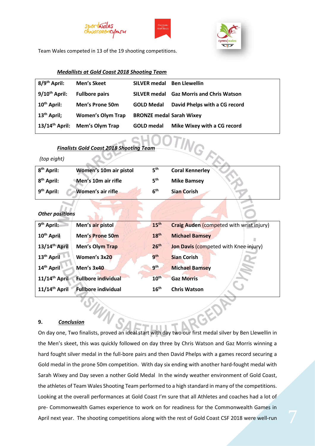





Team Wales competed in 13 of the 19 shooting competitions.

#### *Medallists at Gold Coast 2018 Shooting Team*

| 8/9 <sup>th</sup> April:   | Men's Skeet              | <b>SILVER medal</b>             | <b>Ben Llewellin</b>               |
|----------------------------|--------------------------|---------------------------------|------------------------------------|
| $9/10^{th}$ April:         | <b>Fullbore pairs</b>    | <b>SILVER medal</b>             | <b>Gaz Morris and Chris Watson</b> |
| 10 <sup>th</sup> April:    | <b>Men's Prone 50m</b>   | <b>GOLD Medal</b>               | David Phelps with a CG record      |
| 13 <sup>th</sup> April;    | <b>Women's Olym Trap</b> | <b>BRONZE medal Sarah Wixey</b> |                                    |
| $13/14^{\text{th}}$ April: | <b>Mem's Olym Trap</b>   | <b>GOLD</b> medal               | Mike Wixey with a CG record        |

| <b>Finalists Gold Coast 2018 Shooting Team</b> |  |  |  |
|------------------------------------------------|--|--|--|

### *(top eight)*

| <b>Finalists Gold Coast 2018 Shooting Team</b><br>(top eight) |                        |                  |                                                 |  |  |
|---------------------------------------------------------------|------------------------|------------------|-------------------------------------------------|--|--|
| 8 <sup>th</sup> April:                                        | Women's 10m air pistol | 5 <sup>th</sup>  | <b>Coral Kennerley</b>                          |  |  |
| 8 <sup>th</sup> April:                                        | Men's 10m air rifle    | $5^{\text{th}}$  | <b>Mike Bamsey</b>                              |  |  |
| 9 <sup>th</sup> April:                                        | Women's air rifle      | 6 <sup>th</sup>  | <b>Sian Corish</b>                              |  |  |
| <b>Other positions</b>                                        |                        |                  |                                                 |  |  |
| 9 <sup>th</sup> April:                                        | Men's air pistol       | 15 <sup>th</sup> | <b>Craig Auden (competed with wrist injury)</b> |  |  |
| 10 <sup>th</sup> April                                        | Men's Prone 50m        | 18 <sup>th</sup> | <b>Michael Bamsey</b>                           |  |  |
| 13/14th April                                                 | <b>Men's Olym Trap</b> | 26 <sup>th</sup> | Jon Davis (competed with Knee injury)           |  |  |
| 13 <sup>th</sup> April                                        | Women's 3x20           | 9 <sup>th</sup>  | <b>Sian Corish</b>                              |  |  |

| 14th April    | Men's 3x40                 | <b>gth</b>       | <b>Michael Bamsey</b> |
|---------------|----------------------------|------------------|-----------------------|
| 11/14th April | <b>Fullbore individual</b> | 10 <sup>th</sup> | <b>Gaz Morris</b>     |

**11/14th April Fullbore individual 16th Chris Watson** 

### **9.** *Conclusion*

On day one, Two finalists, proved an ideal start with day two our first medal silver by Ben Llewellin in the Men's skeet, this was quickly followed on day three by Chris Watson and Gaz Morris winning a hard fought silver medal in the full-bore pairs and then David Phelps with a games record securing a Gold medal in the prone 50m competition. With day six ending with another hard-fought medal with Sarah Wixey and Day seven a nother Gold Medal In the windy weather environment of Gold Coast, the athletes of Team Wales Shooting Team performed to a high standard in many of the competitions. Looking at the overall performances at Gold Coast I'm sure that all Athletes and coaches had a lot of pre- Commonwealth Games experience to work on for readiness for the Commonwealth Games in April next year. The shooting competitions along with the rest of Gold Coast CSF 2018 were well-run

E

P.